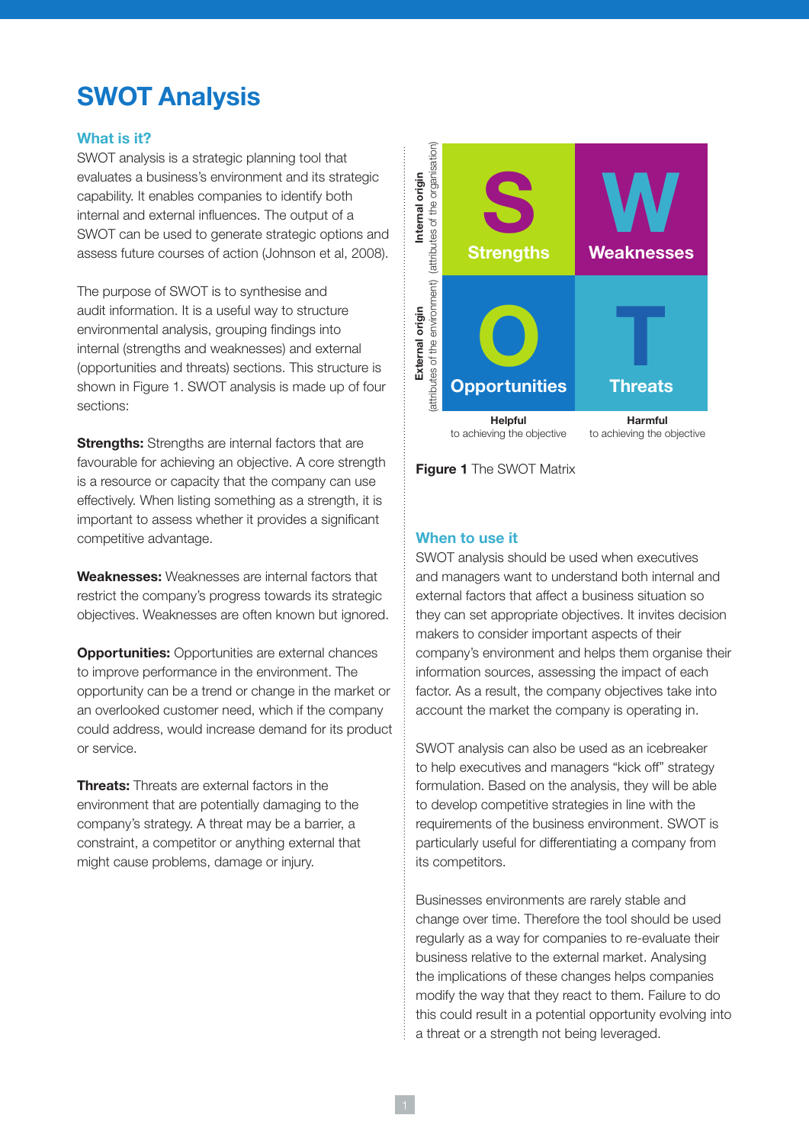# **SWOT Analysis**

# **What is it?**

SWOT analysis is a strategic planning tool that evaluates a business's environment and its strategic capability. It enables companies to identify both internal and external influences. The output of a SWOT can be used to generate strategic options and assess future courses of action (Johnson et al, 2008).

The purpose of SWOT is to synthesise and audit information. It is a useful way to structure environmental analysis, grouping findings into internal (strengths and weaknesses) and external (opportunities and threats) sections. This structure is shown in Figure 1. SWOT analysis is made up of four sections:

**Strengths:** Strengths are internal factors that are favourable for achieving an objective. A core strength is a resource or capacity that the company can use effectively. When listing something as a strength, it is important to assess whether it provides a significant competitive advantage.

**Weaknesses:** Weaknesses are internal factors that restrict the company's progress towards its strategic objectives. Weaknesses are often known but ignored.

**Opportunities:** Opportunities are external chances to improve performance in the environment. The opportunity can be a trend or change in the market or an overlooked customer need, which if the company could address, would increase demand for its product or service.

**Threats:** Threats are external factors in the environment that are potentially damaging to the company's strategy. A threat may be a barrier, a constraint, a competitor or anything external that might cause problems, damage or injury.



**Figure 1** The SWOT Matrix

## **When to use it**

SWOT analysis should be used when executives and managers want to understand both internal and external factors that affect a business situation so they can set appropriate objectives. It invites decision makers to consider important aspects of their company's environment and helps them organise their information sources, assessing the impact of each factor. As a result, the company objectives take into account the market the company is operating in.

SWOT analysis can also be used as an icebreaker to help executives and managers "kick off" strategy formulation. Based on the analysis, they will be able to develop competitive strategies in line with the requirements of the business environment. SWOT is particularly useful for differentiating a company from its competitors.

Businesses environments are rarely stable and change over time. Therefore the tool should be used regularly as a way for companies to re-evaluate their business relative to the external market. Analysing the implications of these changes helps companies modify the way that they react to them. Failure to do this could result in a potential opportunity evolving into a threat or a strength not being leveraged.